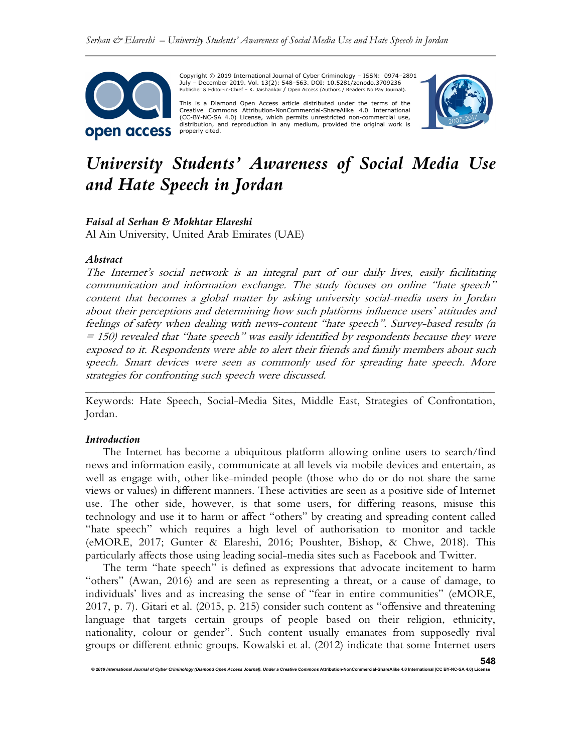

Copyright © 2019 International Journal of Cyber Criminology – ISSN: 0974–2891 July – December 2019. Vol. 13(2): 548–563. DOI: 10.5281/zenodo.3709236 Publisher & Editor-in-Chief – K. Jaishankar / Open Access (Authors / Readers No Pay Journal).

This is a Diamond Open Access article distributed under the terms of the Creative Commons Attribution-NonCommercial-ShareAlike 4.0 International (CC-BY-NC-SA 4.0) License, which permits unrestricted non-commercial use, distribution, and reproduction in any medium, provided the original work is properly cited.



# University Students' Awareness of Social Media Use and Hate Speech in Jordan

#### Faisal al Serhan & Mokhtar Elareshi

Al Ain University, United Arab Emirates (UAE)

#### Abstract

The Internet's social network is an integral part of our daily lives, easily facilitating communication and information exchange. The study focuses on online "hate speech" content that becomes a global matter by asking university social-media users in Jordan about their perceptions and determining how such platforms influence users' attitudes and feelings of safety when dealing with news-content "hate speech". Survey-based results (n  $= 150$ ) revealed that "hate speech" was easily identified by respondents because they were exposed to it. Respondents were able to alert their friends and family members about such speech. Smart devices were seen as commonly used for spreading hate speech. More strategies for confronting such speech were discussed.

\_\_\_\_\_\_\_\_\_\_\_\_\_\_\_\_\_\_\_\_\_\_\_\_\_\_\_\_\_\_\_\_\_\_\_\_\_\_\_\_\_\_\_\_\_\_\_\_\_\_\_\_\_\_\_\_\_\_\_\_\_\_\_\_\_\_\_\_\_\_\_\_ Keywords: Hate Speech, Social-Media Sites, Middle East, Strategies of Confrontation, Jordan.

#### Introduction

The Internet has become a ubiquitous platform allowing online users to search/find news and information easily, communicate at all levels via mobile devices and entertain, as well as engage with, other like-minded people (those who do or do not share the same views or values) in different manners. These activities are seen as a positive side of Internet use. The other side, however, is that some users, for differing reasons, misuse this technology and use it to harm or affect "others" by creating and spreading content called "hate speech" which requires a high level of authorisation to monitor and tackle (eMORE, 2017; Gunter & Elareshi, 2016; Poushter, Bishop, & Chwe, 2018). This particularly affects those using leading social-media sites such as Facebook and Twitter.

The term "hate speech" is defined as expressions that advocate incitement to harm "others" (Awan, 2016) and are seen as representing a threat, or a cause of damage, to individuals' lives and as increasing the sense of "fear in entire communities" (eMORE, 2017, p. 7). Gitari et al. (2015, p. 215) consider such content as "offensive and threatening language that targets certain groups of people based on their religion, ethnicity, nationality, colour or gender". Such content usually emanates from supposedly rival groups or different ethnic groups. Kowalski et al. (2012) indicate that some Internet users

© 2019 International Journal of Cyber Criminology (Diamond Open Access Journal). Under a Creative Commons Attribution-NonCommercial-ShareAlike 4.0 International (CC BY-NC-SA 4.0) License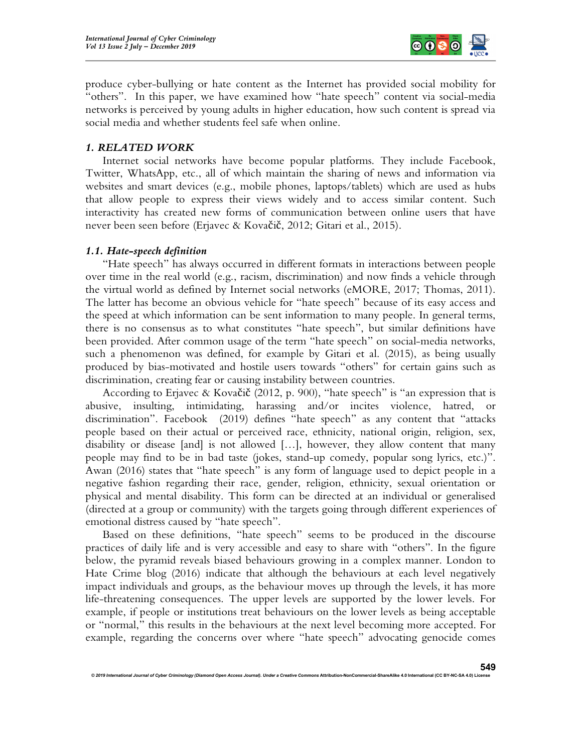

produce cyber-bullying or hate content as the Internet has provided social mobility for "others". In this paper, we have examined how "hate speech" content via social-media networks is perceived by young adults in higher education, how such content is spread via social media and whether students feel safe when online.

# 1. RELATED WORK

Internet social networks have become popular platforms. They include Facebook, Twitter, WhatsApp, etc., all of which maintain the sharing of news and information via websites and smart devices (e.g., mobile phones, laptops/tablets) which are used as hubs that allow people to express their views widely and to access similar content. Such interactivity has created new forms of communication between online users that have never been seen before (Erjavec & Kovačič, 2012; Gitari et al., 2015).

# 1.1. Hate-speech definition

"Hate speech" has always occurred in different formats in interactions between people over time in the real world (e.g., racism, discrimination) and now finds a vehicle through the virtual world as defined by Internet social networks (eMORE, 2017; Thomas, 2011). The latter has become an obvious vehicle for "hate speech" because of its easy access and the speed at which information can be sent information to many people. In general terms, there is no consensus as to what constitutes "hate speech", but similar definitions have been provided. After common usage of the term "hate speech" on social-media networks, such a phenomenon was defined, for example by Gitari et al. (2015), as being usually produced by bias-motivated and hostile users towards "others" for certain gains such as discrimination, creating fear or causing instability between countries.

According to Erjavec & Kovačič (2012, p. 900), "hate speech" is "an expression that is abusive, insulting, intimidating, harassing and/or incites violence, hatred, or discrimination". Facebook (2019) defines "hate speech" as any content that "attacks people based on their actual or perceived race, ethnicity, national origin, religion, sex, disability or disease [and] is not allowed […], however, they allow content that many people may find to be in bad taste (jokes, stand-up comedy, popular song lyrics, etc.)". Awan (2016) states that "hate speech" is any form of language used to depict people in a negative fashion regarding their race, gender, religion, ethnicity, sexual orientation or physical and mental disability. This form can be directed at an individual or generalised (directed at a group or community) with the targets going through different experiences of emotional distress caused by "hate speech".

Based on these definitions, "hate speech" seems to be produced in the discourse practices of daily life and is very accessible and easy to share with "others". In the figure below, the pyramid reveals biased behaviours growing in a complex manner. London to Hate Crime blog (2016) indicate that although the behaviours at each level negatively impact individuals and groups, as the behaviour moves up through the levels, it has more life-threatening consequences. The upper levels are supported by the lower levels. For example, if people or institutions treat behaviours on the lower levels as being acceptable or "normal," this results in the behaviours at the next level becoming more accepted. For example, regarding the concerns over where "hate speech" advocating genocide comes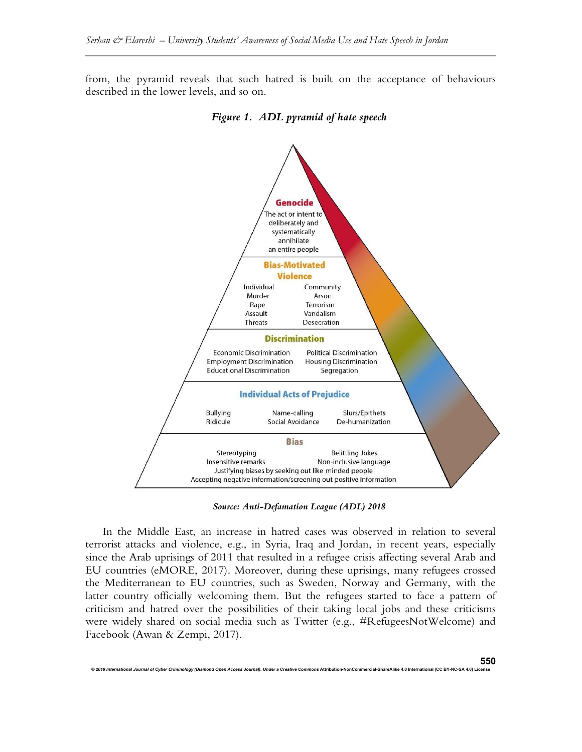from, the pyramid reveals that such hatred is built on the acceptance of behaviours described in the lower levels, and so on.



Figure 1. ADL pyramid of hate speech

Source: Anti-Defamation League (ADL) 2018

In the Middle East, an increase in hatred cases was observed in relation to several terrorist attacks and violence, e.g., in Syria, Iraq and Jordan, in recent years, especially since the Arab uprisings of 2011 that resulted in a refugee crisis affecting several Arab and EU countries (eMORE, 2017). Moreover, during these uprisings, many refugees crossed the Mediterranean to EU countries, such as Sweden, Norway and Germany, with the latter country officially welcoming them. But the refugees started to face a pattern of criticism and hatred over the possibilities of their taking local jobs and these criticisms were widely shared on social media such as Twitter (e.g., #RefugeesNotWelcome) and Facebook (Awan & Zempi, 2017).

onal of Cyber Criminology (Diamond Open Access Journal). Under a Creative Commons Attribution-NonCommercial-ShareAlike 4.0 International (CC BY-NC-SA 4.0)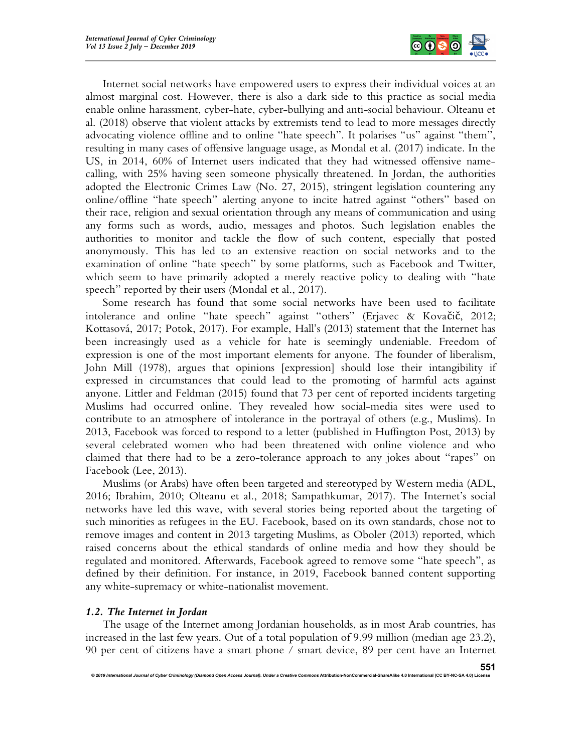

Internet social networks have empowered users to express their individual voices at an almost marginal cost. However, there is also a dark side to this practice as social media enable online harassment, cyber-hate, cyber-bullying and anti-social behaviour. Olteanu et al. (2018) observe that violent attacks by extremists tend to lead to more messages directly advocating violence offline and to online "hate speech". It polarises "us" against "them", resulting in many cases of offensive language usage, as Mondal et al. (2017) indicate. In the US, in 2014, 60% of Internet users indicated that they had witnessed offensive namecalling, with 25% having seen someone physically threatened. In Jordan, the authorities adopted the Electronic Crimes Law (No. 27, 2015), stringent legislation countering any online/offline "hate speech" alerting anyone to incite hatred against "others" based on their race, religion and sexual orientation through any means of communication and using any forms such as words, audio, messages and photos. Such legislation enables the authorities to monitor and tackle the flow of such content, especially that posted anonymously. This has led to an extensive reaction on social networks and to the examination of online "hate speech" by some platforms, such as Facebook and Twitter, which seem to have primarily adopted a merely reactive policy to dealing with "hate speech" reported by their users (Mondal et al., 2017).

Some research has found that some social networks have been used to facilitate intolerance and online "hate speech" against "others" (Erjavec & Kovačič, 2012; Kottasová, 2017; Potok, 2017). For example, Hall's (2013) statement that the Internet has been increasingly used as a vehicle for hate is seemingly undeniable. Freedom of expression is one of the most important elements for anyone. The founder of liberalism, John Mill (1978), argues that opinions [expression] should lose their intangibility if expressed in circumstances that could lead to the promoting of harmful acts against anyone. Littler and Feldman (2015) found that 73 per cent of reported incidents targeting Muslims had occurred online. They revealed how social-media sites were used to contribute to an atmosphere of intolerance in the portrayal of others (e.g., Muslims). In 2013, Facebook was forced to respond to a letter (published in Huffington Post, 2013) by several celebrated women who had been threatened with online violence and who claimed that there had to be a zero-tolerance approach to any jokes about "rapes" on Facebook (Lee, 2013).

Muslims (or Arabs) have often been targeted and stereotyped by Western media (ADL, 2016; Ibrahim, 2010; Olteanu et al., 2018; Sampathkumar, 2017). The Internet's social networks have led this wave, with several stories being reported about the targeting of such minorities as refugees in the EU. Facebook, based on its own standards, chose not to remove images and content in 2013 targeting Muslims, as Oboler (2013) reported, which raised concerns about the ethical standards of online media and how they should be regulated and monitored. Afterwards, Facebook agreed to remove some "hate speech", as defined by their definition. For instance, in 2019, Facebook banned content supporting any white-supremacy or white-nationalist movement.

# 1.2. The Internet in Jordan

The usage of the Internet among Jordanian households, as in most Arab countries, has increased in the last few years. Out of a total population of 9.99 million (median age 23.2), 90 per cent of citizens have a smart phone / smart device, 89 per cent have an Internet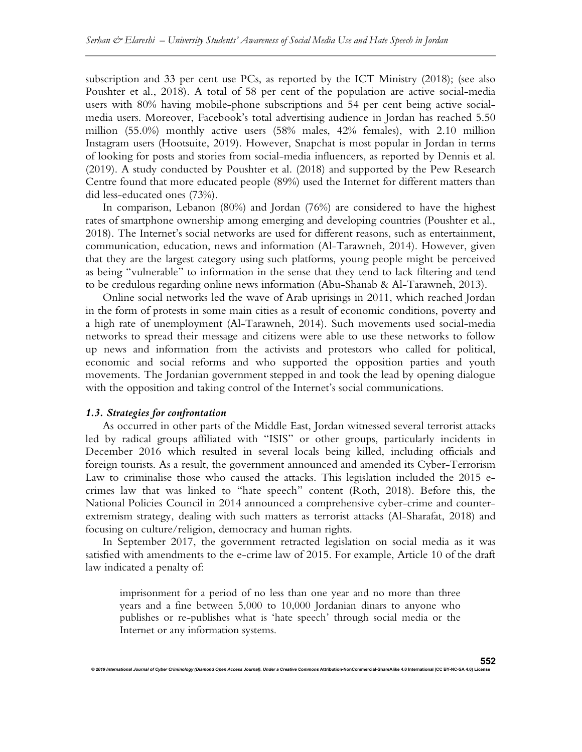subscription and 33 per cent use PCs, as reported by the ICT Ministry (2018); (see also Poushter et al., 2018). A total of 58 per cent of the population are active social-media users with 80% having mobile-phone subscriptions and 54 per cent being active socialmedia users. Moreover, Facebook's total advertising audience in Jordan has reached 5.50 million (55.0%) monthly active users (58% males, 42% females), with 2.10 million Instagram users (Hootsuite, 2019). However, Snapchat is most popular in Jordan in terms of looking for posts and stories from social-media influencers, as reported by Dennis et al. (2019). A study conducted by Poushter et al. (2018) and supported by the Pew Research Centre found that more educated people (89%) used the Internet for different matters than did less-educated ones (73%).

In comparison, Lebanon (80%) and Jordan (76%) are considered to have the highest rates of smartphone ownership among emerging and developing countries (Poushter et al., 2018). The Internet's social networks are used for different reasons, such as entertainment, communication, education, news and information (Al-Tarawneh, 2014). However, given that they are the largest category using such platforms, young people might be perceived as being "vulnerable" to information in the sense that they tend to lack filtering and tend to be credulous regarding online news information (Abu-Shanab & Al-Tarawneh, 2013).

Online social networks led the wave of Arab uprisings in 2011, which reached Jordan in the form of protests in some main cities as a result of economic conditions, poverty and a high rate of unemployment (Al-Tarawneh, 2014). Such movements used social-media networks to spread their message and citizens were able to use these networks to follow up news and information from the activists and protestors who called for political, economic and social reforms and who supported the opposition parties and youth movements. The Jordanian government stepped in and took the lead by opening dialogue with the opposition and taking control of the Internet's social communications.

## 1.3. Strategies for confrontation

As occurred in other parts of the Middle East, Jordan witnessed several terrorist attacks led by radical groups affiliated with "ISIS" or other groups, particularly incidents in December 2016 which resulted in several locals being killed, including officials and foreign tourists. As a result, the government announced and amended its Cyber-Terrorism Law to criminalise those who caused the attacks. This legislation included the 2015 ecrimes law that was linked to "hate speech" content (Roth, 2018). Before this, the National Policies Council in 2014 announced a comprehensive cyber-crime and counterextremism strategy, dealing with such matters as terrorist attacks (Al-Sharafat, 2018) and focusing on culture/religion, democracy and human rights.

In September 2017, the government retracted legislation on social media as it was satisfied with amendments to the e-crime law of 2015. For example, Article 10 of the draft law indicated a penalty of:

imprisonment for a period of no less than one year and no more than three years and a fine between 5,000 to 10,000 Jordanian dinars to anyone who publishes or re-publishes what is 'hate speech' through social media or the Internet or any information systems.

onal Journal of Cyber Criminology (Diamond Open Access Journal). Under a Creative Co $\,$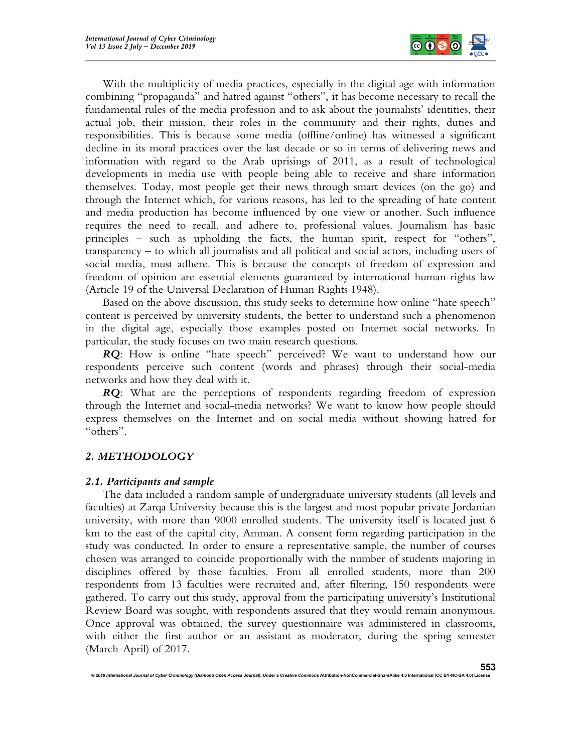

With the multiplicity of media practices, especially in the digital age with information combining "propaganda" and hatred against "others", it has become necessary to recall the fundamental rules of the media profession and to ask about the journalists' identities, their actual job, their mission, their roles in the community and their rights, duties and responsibilities. This is because some media (offline/online) has witnessed a significant decline in its moral practices over the last decade or so in terms of delivering news and information with regard to the Arab uprisings of 2011, as a result of technological developments in media use with people being able to receive and share information themselves. Today, most people get their news through smart devices (on the go) and through the Internet which, for various reasons, has led to the spreading of hate content and media production has become influenced by one view or another. Such influence requires the need to recall, and adhere to, professional values. Journalism has basic principles – such as upholding the facts, the human spirit, respect for "others", transparency – to which all journalists and all political and social actors, including users of social media, must adhere. This is because the concepts of freedom of expression and freedom of opinion are essential elements guaranteed by international human-rights law (Article 19 of the Universal Declaration of Human Rights 1948).

Based on the above discussion, this study seeks to determine how online "hate speech" content is perceived by university students, the better to understand such a phenomenon in the digital age, especially those examples posted on Internet social networks. In particular, the study focuses on two main research questions.

RQ: How is online "hate speech" perceived? We want to understand how our respondents perceive such content (words and phrases) through their social-media networks and how they deal with it.

RQ: What are the perceptions of respondents regarding freedom of expression through the Internet and social-media networks? We want to know how people should express themselves on the Internet and on social media without showing hatred for "others".

# 2. METHODOLOGY

# 2.1. Participants and sample

The data included a random sample of undergraduate university students (all levels and faculties) at Zarqa University because this is the largest and most popular private Jordanian university, with more than 9000 enrolled students. The university itself is located just 6 km to the east of the capital city, Amman. A consent form regarding participation in the study was conducted. In order to ensure a representative sample, the number of courses chosen was arranged to coincide proportionally with the number of students majoring in disciplines offered by those faculties. From all enrolled students, more than 200 respondents from 13 faculties were recruited and, after filtering, 150 respondents were gathered. To carry out this study, approval from the participating university's Institutional Review Board was sought, with respondents assured that they would remain anonymous. Once approval was obtained, the survey questionnaire was administered in classrooms, with either the first author or an assistant as moderator, during the spring semester (March-April) of 2017.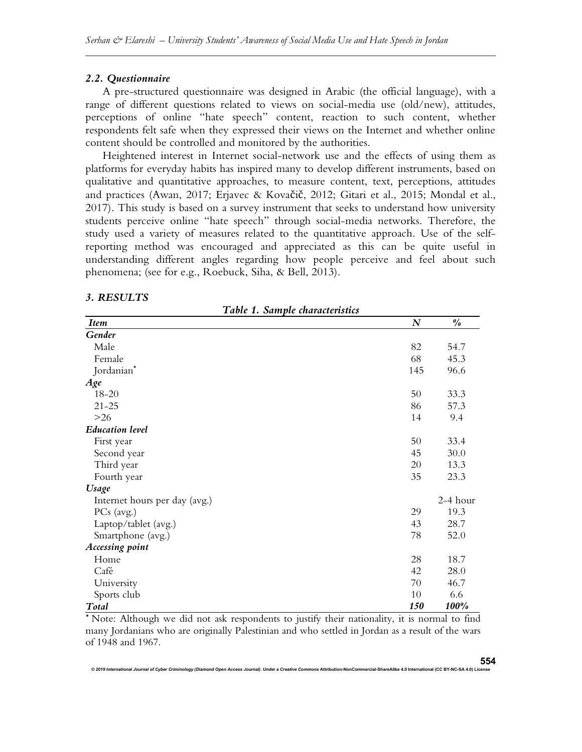#### 2.2. Questionnaire

A pre-structured questionnaire was designed in Arabic (the official language), with a range of different questions related to views on social-media use (old/new), attitudes, perceptions of online "hate speech" content, reaction to such content, whether respondents felt safe when they expressed their views on the Internet and whether online content should be controlled and monitored by the authorities.

Heightened interest in Internet social-network use and the effects of using them as platforms for everyday habits has inspired many to develop different instruments, based on qualitative and quantitative approaches, to measure content, text, perceptions, attitudes and practices (Awan, 2017; Erjavec & Kovačič, 2012; Gitari et al., 2015; Mondal et al., 2017). This study is based on a survey instrument that seeks to understand how university students perceive online "hate speech" through social-media networks. Therefore, the study used a variety of measures related to the quantitative approach. Use of the selfreporting method was encouraged and appreciated as this can be quite useful in understanding different angles regarding how people perceive and feel about such phenomena; (see for e.g., Roebuck, Siha, & Bell, 2013).

# 3. RESULTS

Table 1. Sample characteristics

| <b>Item</b>                   | $\boldsymbol{N}$ | $\frac{\theta}{\theta}$ |
|-------------------------------|------------------|-------------------------|
| Gender                        |                  |                         |
| Male                          | 82               | 54.7                    |
| Female                        | 68               | 45.3                    |
| Jordanian*                    | 145              | 96.6                    |
| Age                           |                  |                         |
| 18-20                         | 50               | 33.3                    |
| $21 - 25$                     | 86               | 57.3                    |
| $>26$                         | 14               | 9.4                     |
| <b>Education level</b>        |                  |                         |
| First year                    | 50               | 33.4                    |
| Second year                   | 45               | 30.0                    |
| Third year                    | 20               | 13.3                    |
| Fourth year                   | 35               | 23.3                    |
| <b>Usage</b>                  |                  |                         |
| Internet hours per day (avg.) |                  | 2-4 hour                |
| PCs (avg.)                    | 29               | 19.3                    |
| Laptop/tablet (avg.)          | 43               | 28.7                    |
| Smartphone (avg.)             | 78               | 52.0                    |
| <b>Accessing point</b>        |                  |                         |
| Home                          | 28               | 18.7                    |
| Café                          | 42               | 28.0                    |
| University                    | 70               | 46.7                    |
| Sports club                   | 10               | 6.6                     |
| Total                         | 150              | 100%                    |

\* Note: Although we did not ask respondents to justify their nationality, it is normal to find many Jordanians who are originally Palestinian and who settled in Jordan as a result of the wars of 1948 and 1967.

© 2019 International Journal of Cyber Criminology (Diamond Open Access Journal). Under a Creative Comr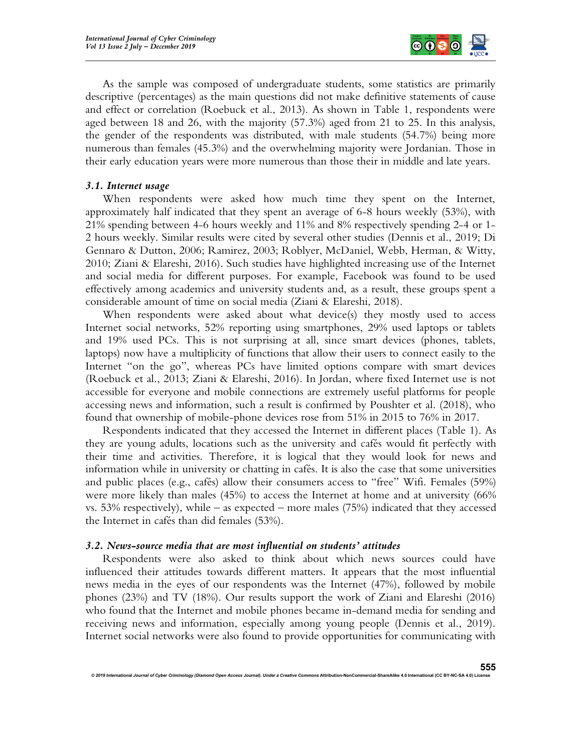

As the sample was composed of undergraduate students, some statistics are primarily descriptive (percentages) as the main questions did not make definitive statements of cause and effect or correlation (Roebuck et al., 2013). As shown in Table 1, respondents were aged between 18 and 26, with the majority (57.3%) aged from 21 to 25. In this analysis, the gender of the respondents was distributed, with male students (54.7%) being more numerous than females (45.3%) and the overwhelming majority were Jordanian. Those in their early education years were more numerous than those their in middle and late years.

# 3.1. Internet usage

When respondents were asked how much time they spent on the Internet, approximately half indicated that they spent an average of 6-8 hours weekly (53%), with 21% spending between 4-6 hours weekly and 11% and 8% respectively spending 2-4 or 1- 2 hours weekly. Similar results were cited by several other studies (Dennis et al., 2019; Di Gennaro & Dutton, 2006; Ramirez, 2003; Roblyer, McDaniel, Webb, Herman, & Witty, 2010; Ziani & Elareshi, 2016). Such studies have highlighted increasing use of the Internet and social media for different purposes. For example, Facebook was found to be used effectively among academics and university students and, as a result, these groups spent a considerable amount of time on social media (Ziani & Elareshi, 2018).

When respondents were asked about what device(s) they mostly used to access Internet social networks, 52% reporting using smartphones, 29% used laptops or tablets and 19% used PCs. This is not surprising at all, since smart devices (phones, tablets, laptops) now have a multiplicity of functions that allow their users to connect easily to the Internet "on the go", whereas PCs have limited options compare with smart devices (Roebuck et al., 2013; Ziani & Elareshi, 2016). In Jordan, where fixed Internet use is not accessible for everyone and mobile connections are extremely useful platforms for people accessing news and information, such a result is confirmed by Poushter et al. (2018), who found that ownership of mobile-phone devices rose from 51% in 2015 to 76% in 2017.

Respondents indicated that they accessed the Internet in different places (Table 1). As they are young adults, locations such as the university and cafés would fit perfectly with their time and activities. Therefore, it is logical that they would look for news and information while in university or chatting in cafés. It is also the case that some universities and public places (e.g., cafés) allow their consumers access to "free" Wifi. Females (59%) were more likely than males (45%) to access the Internet at home and at university (66% vs. 53% respectively), while – as expected – more males  $(75%)$  indicated that they accessed the Internet in cafés than did females (53%).

# 3.2. News-source media that are most influential on students' attitudes

Respondents were also asked to think about which news sources could have influenced their attitudes towards different matters. It appears that the most influential news media in the eyes of our respondents was the Internet (47%), followed by mobile phones (23%) and TV (18%). Our results support the work of Ziani and Elareshi (2016) who found that the Internet and mobile phones became in-demand media for sending and receiving news and information, especially among young people (Dennis et al., 2019). Internet social networks were also found to provide opportunities for communicating with

© 2019 International Journal of Cyber Criminology (Diamond Open Access Journal). Under a Creative Commons Attribution-NonCommercial-ShareAlike 4.0 International (CC BY-NC-SA 4.0) Licens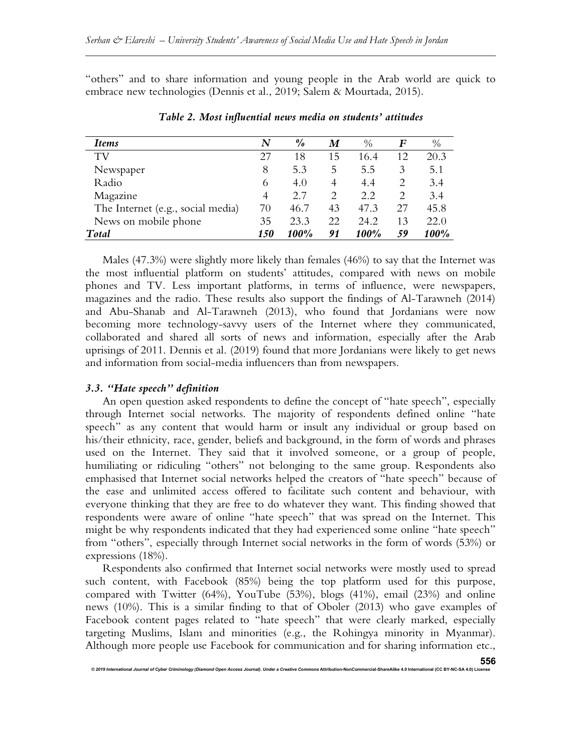"others" and to share information and young people in the Arab world are quick to embrace new technologies (Dennis et al., 2019; Salem & Mourtada, 2015).

| <b>Items</b>                      | N                 | $\frac{0}{0}$ | M  | $\%$ | F  | $\%$ |
|-----------------------------------|-------------------|---------------|----|------|----|------|
| TV                                | 27                | 18            | 15 | 16.4 | 12 | 20.3 |
| Newspaper                         | 8                 | 5.3           | 5  | 5.5  | 3  | 5.1  |
| Radio                             | 6                 | 4.0           | 4  | 4.4  | 2  | 3.4  |
| Magazine                          | 4                 | 2.7           | 2  | 2.2  | 2  | 3.4  |
| The Internet (e.g., social media) | 70                | 46.7          | 43 | 47.3 | 27 | 45.8 |
| News on mobile phone              | 35                | 23.3          | 22 | 24.2 | 13 | 22.0 |
| Total                             | <i><b>150</b></i> | 100%          | 91 | 100% | 59 | 100% |

Table 2. Most influential news media on students' attitudes

Males (47.3%) were slightly more likely than females (46%) to say that the Internet was the most influential platform on students' attitudes, compared with news on mobile phones and TV. Less important platforms, in terms of influence, were newspapers, magazines and the radio. These results also support the findings of Al-Tarawneh (2014) and Abu-Shanab and Al-Tarawneh (2013), who found that Jordanians were now becoming more technology-savvy users of the Internet where they communicated, collaborated and shared all sorts of news and information, especially after the Arab uprisings of 2011. Dennis et al. (2019) found that more Jordanians were likely to get news and information from social-media influencers than from newspapers.

# 3.3. "Hate speech" definition

An open question asked respondents to define the concept of "hate speech", especially through Internet social networks. The majority of respondents defined online "hate speech" as any content that would harm or insult any individual or group based on his/their ethnicity, race, gender, beliefs and background, in the form of words and phrases used on the Internet. They said that it involved someone, or a group of people, humiliating or ridiculing "others" not belonging to the same group. Respondents also emphasised that Internet social networks helped the creators of "hate speech" because of the ease and unlimited access offered to facilitate such content and behaviour, with everyone thinking that they are free to do whatever they want. This finding showed that respondents were aware of online "hate speech" that was spread on the Internet. This might be why respondents indicated that they had experienced some online "hate speech" from "others", especially through Internet social networks in the form of words (53%) or expressions (18%).

Respondents also confirmed that Internet social networks were mostly used to spread such content, with Facebook (85%) being the top platform used for this purpose, compared with Twitter (64%), YouTube (53%), blogs (41%), email (23%) and online news (10%). This is a similar finding to that of Oboler (2013) who gave examples of Facebook content pages related to "hate speech" that were clearly marked, especially targeting Muslims, Islam and minorities (e.g., the Rohingya minority in Myanmar). Although more people use Facebook for communication and for sharing information etc.,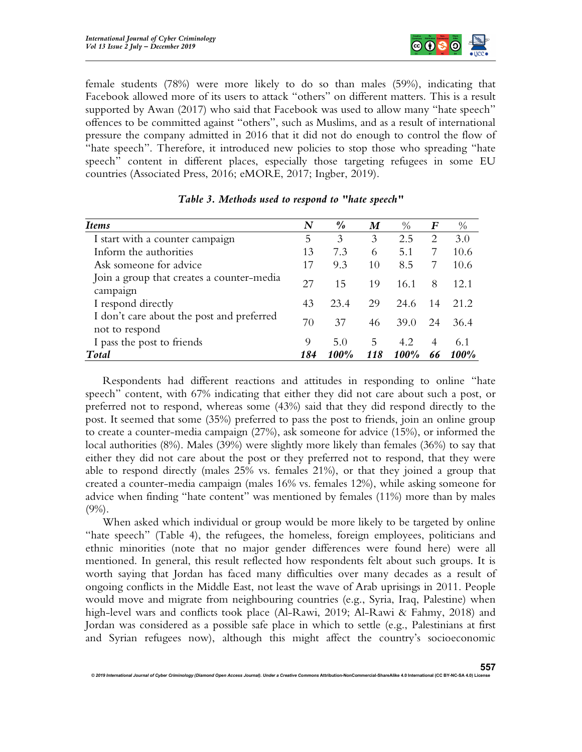

female students (78%) were more likely to do so than males (59%), indicating that Facebook allowed more of its users to attack "others" on different matters. This is a result supported by Awan (2017) who said that Facebook was used to allow many "hate speech" offences to be committed against "others", such as Muslims, and as a result of international pressure the company admitted in 2016 that it did not do enough to control the flow of "hate speech". Therefore, it introduced new policies to stop those who spreading "hate speech" content in different places, especially those targeting refugees in some EU countries (Associated Press, 2016; eMORE, 2017; Ingber, 2019).

| <i>Items</i>                                                | N   | $\frac{0}{0}$ | M   | $\frac{0}{0}$ | F   | $\frac{0}{0}$ |
|-------------------------------------------------------------|-----|---------------|-----|---------------|-----|---------------|
| I start with a counter campaign                             | 5   | 3             | 3   | 2.5           | 2   | 3.0           |
| Inform the authorities                                      | 13  | 7.3           | 6   | 5.1           | 7   | 10.6          |
| Ask someone for advice                                      | 17  | 9.3           | 10  | 8.5           | 7   | 10.6          |
| Join a group that creates a counter-media<br>campaign       | 27  | 15            | 19  | 16.1          | 8   | 12.1          |
| I respond directly                                          | 43  | 23.4          | 29  | 24.6          | -14 | 21.2          |
| I don't care about the post and preferred<br>not to respond | 70  | 37            | 46  | 39.0          | 24  | 36.4          |
| I pass the post to friends                                  | 9   | 5.0           | 5   | 4.2           | 4   | 6.1           |
| Total                                                       | 184 | <b>100%</b>   | 118 | 100%          | 66  | 100%          |

# Table 3. Methods used to respond to "hate speech"

Respondents had different reactions and attitudes in responding to online "hate speech" content, with 67% indicating that either they did not care about such a post, or preferred not to respond, whereas some (43%) said that they did respond directly to the post. It seemed that some (35%) preferred to pass the post to friends, join an online group to create a counter-media campaign (27%), ask someone for advice (15%), or informed the local authorities (8%). Males (39%) were slightly more likely than females (36%) to say that either they did not care about the post or they preferred not to respond, that they were able to respond directly (males 25% vs. females 21%), or that they joined a group that created a counter-media campaign (males 16% vs. females 12%), while asking someone for advice when finding "hate content" was mentioned by females (11%) more than by males (9%).

When asked which individual or group would be more likely to be targeted by online "hate speech" (Table 4), the refugees, the homeless, foreign employees, politicians and ethnic minorities (note that no major gender differences were found here) were all mentioned. In general, this result reflected how respondents felt about such groups. It is worth saying that Jordan has faced many difficulties over many decades as a result of ongoing conflicts in the Middle East, not least the wave of Arab uprisings in 2011. People would move and migrate from neighbouring countries (e.g., Syria, Iraq, Palestine) when high-level wars and conflicts took place (Al-Rawi, 2019; Al-Rawi & Fahmy, 2018) and Jordan was considered as a possible safe place in which to settle (e.g., Palestinians at first and Syrian refugees now), although this might affect the country's socioeconomic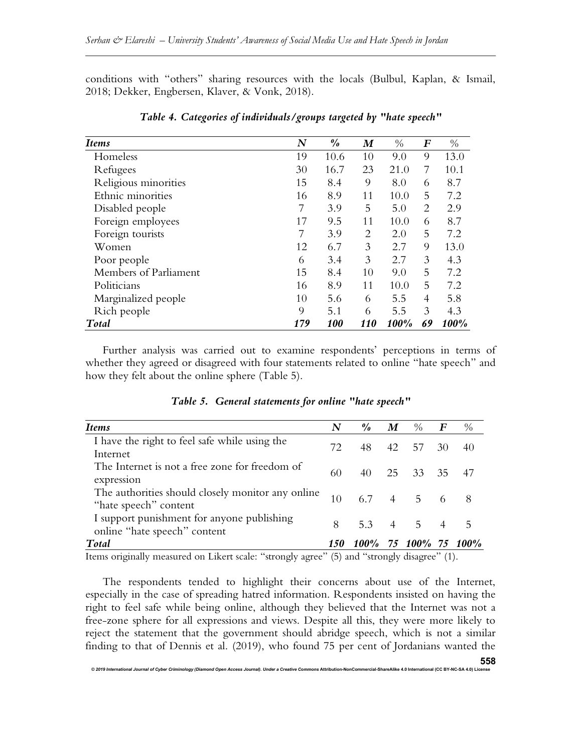conditions with "others" sharing resources with the locals (Bulbul, Kaplan, & Ismail, 2018; Dekker, Engbersen, Klaver, & Vonk, 2018).

| <i>Items</i>          | N   | $\frac{\partial}{\partial \theta}$ | M   | $\%$ | $\bm{F}$       | $\%$ |
|-----------------------|-----|------------------------------------|-----|------|----------------|------|
| Homeless              | 19  | 10.6                               | 10  | 9.0  | 9              | 13.0 |
| Refugees              | 30  | 16.7                               | 23  | 21.0 | 7              | 10.1 |
| Religious minorities  | 15  | 8.4                                | 9   | 8.0  | 6              | 8.7  |
| Ethnic minorities     | 16  | 8.9                                | 11  | 10.0 | 5              | 7.2  |
| Disabled people       |     | 3.9                                | 5   | 5.0  | $\overline{2}$ | 2.9  |
| Foreign employees     | 17  | 9.5                                | 11  | 10.0 | 6              | 8.7  |
| Foreign tourists      |     | 3.9                                | 2   | 2.0  | 5              | 7.2  |
| Women                 | 12  | 6.7                                | 3   | 2.7  | 9              | 13.0 |
| Poor people           | 6   | 3.4                                | 3   | 2.7  | 3              | 4.3  |
| Members of Parliament | 15  | 8.4                                | 10  | 9.0  | 5              | 7.2  |
| Politicians           | 16  | 8.9                                | 11  | 10.0 | 5              | 7.2  |
| Marginalized people   | 10  | 5.6                                | 6   | 5.5  | $\overline{4}$ | 5.8  |
| Rich people           | 9   | 5.1                                | 6   | 5.5  | 3              | 4.3  |
| Total                 | 179 | 100                                | 110 | 100% | 69             | 100% |

Table 4. Categories of individuals/groups targeted by "hate speech"

Further analysis was carried out to examine respondents' perceptions in terms of whether they agreed or disagreed with four statements related to online "hate speech" and how they felt about the online sphere (Table 5).

| <b>Items</b>                                                               | N   | $\frac{\theta}{\theta}$ | $\boldsymbol{M}$ | $\%$             | $\bm{F}$       | $\%$ |
|----------------------------------------------------------------------------|-----|-------------------------|------------------|------------------|----------------|------|
| I have the right to feel safe while using the<br>Internet                  | 72. | 48                      | 42               | 57               | 30             | 40   |
| The Internet is not a free zone for freedom of<br>expression               | 60  | 40                      |                  | 25 33 35 47      |                |      |
| The authorities should closely monitor any online<br>"hate speech" content | 10  | 67                      |                  | $4 \overline{5}$ |                |      |
| I support punishment for anyone publishing<br>online "hate speech" content | 8   | 5.3 4 5                 |                  |                  | $\overline{4}$ | 5    |
| Total                                                                      | 150 | 100%                    |                  | 75 100%          | 75             | 100% |

|  | Table 5. General statements for online "hate speech" |  |  |
|--|------------------------------------------------------|--|--|
|  |                                                      |  |  |

Items originally measured on Likert scale: "strongly agree" (5) and "strongly disagree" (1).

The respondents tended to highlight their concerns about use of the Internet, especially in the case of spreading hatred information. Respondents insisted on having the right to feel safe while being online, although they believed that the Internet was not a free-zone sphere for all expressions and views. Despite all this, they were more likely to reject the statement that the government should abridge speech, which is not a similar finding to that of Dennis et al. (2019), who found 75 per cent of Jordanians wanted the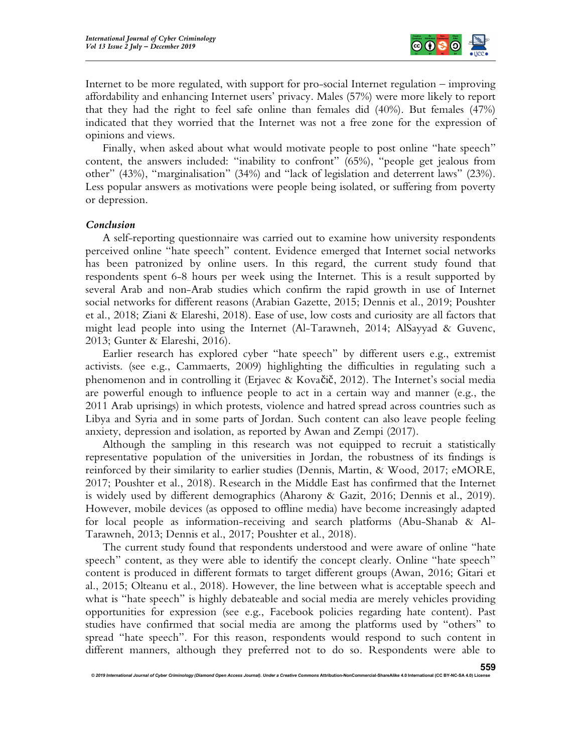

Internet to be more regulated, with support for pro-social Internet regulation – improving affordability and enhancing Internet users' privacy. Males (57%) were more likely to report that they had the right to feel safe online than females did (40%). But females (47%) indicated that they worried that the Internet was not a free zone for the expression of opinions and views.

Finally, when asked about what would motivate people to post online "hate speech" content, the answers included: "inability to confront" (65%), "people get jealous from other" (43%), "marginalisation" (34%) and "lack of legislation and deterrent laws" (23%). Less popular answers as motivations were people being isolated, or suffering from poverty or depression.

#### Conclusion

A self-reporting questionnaire was carried out to examine how university respondents perceived online "hate speech" content. Evidence emerged that Internet social networks has been patronized by online users. In this regard, the current study found that respondents spent 6-8 hours per week using the Internet. This is a result supported by several Arab and non-Arab studies which confirm the rapid growth in use of Internet social networks for different reasons (Arabian Gazette, 2015; Dennis et al., 2019; Poushter et al., 2018; Ziani & Elareshi, 2018). Ease of use, low costs and curiosity are all factors that might lead people into using the Internet (Al-Tarawneh, 2014; AlSayyad & Guvenc, 2013; Gunter & Elareshi, 2016).

Earlier research has explored cyber "hate speech" by different users e.g., extremist activists. (see e.g., Cammaerts, 2009) highlighting the difficulties in regulating such a phenomenon and in controlling it (Erjavec & Kovačič, 2012). The Internet's social media are powerful enough to influence people to act in a certain way and manner (e.g., the 2011 Arab uprisings) in which protests, violence and hatred spread across countries such as Libya and Syria and in some parts of Jordan. Such content can also leave people feeling anxiety, depression and isolation, as reported by Awan and Zempi (2017).

Although the sampling in this research was not equipped to recruit a statistically representative population of the universities in Jordan, the robustness of its findings is reinforced by their similarity to earlier studies (Dennis, Martin, & Wood, 2017; eMORE, 2017; Poushter et al., 2018). Research in the Middle East has confirmed that the Internet is widely used by different demographics (Aharony & Gazit, 2016; Dennis et al., 2019). However, mobile devices (as opposed to offline media) have become increasingly adapted for local people as information-receiving and search platforms (Abu-Shanab & Al-Tarawneh, 2013; Dennis et al., 2017; Poushter et al., 2018).

The current study found that respondents understood and were aware of online "hate speech" content, as they were able to identify the concept clearly. Online "hate speech" content is produced in different formats to target different groups (Awan, 2016; Gitari et al., 2015; Olteanu et al., 2018). However, the line between what is acceptable speech and what is "hate speech" is highly debateable and social media are merely vehicles providing opportunities for expression (see e.g., Facebook policies regarding hate content). Past studies have confirmed that social media are among the platforms used by "others" to spread "hate speech". For this reason, respondents would respond to such content in different manners, although they preferred not to do so. Respondents were able to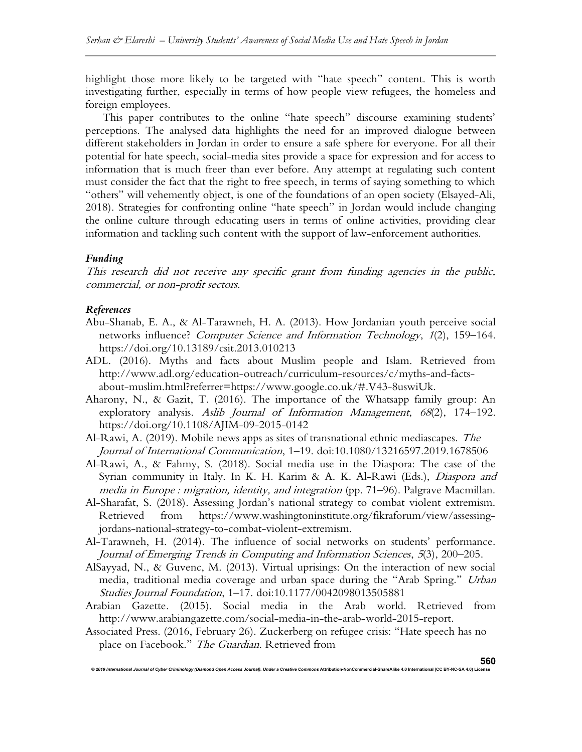highlight those more likely to be targeted with "hate speech" content. This is worth investigating further, especially in terms of how people view refugees, the homeless and foreign employees.

This paper contributes to the online "hate speech" discourse examining students' perceptions. The analysed data highlights the need for an improved dialogue between different stakeholders in Jordan in order to ensure a safe sphere for everyone. For all their potential for hate speech, social-media sites provide a space for expression and for access to information that is much freer than ever before. Any attempt at regulating such content must consider the fact that the right to free speech, in terms of saying something to which "others" will vehemently object, is one of the foundations of an open society (Elsayed-Ali, 2018). Strategies for confronting online "hate speech" in Jordan would include changing the online culture through educating users in terms of online activities, providing clear information and tackling such content with the support of law-enforcement authorities.

# Funding

This research did not receive any specific grant from funding agencies in the public, commercial, or non-profit sectors.

#### References

- Abu-Shanab, E. A., & Al-Tarawneh, H. A. (2013). How Jordanian youth perceive social networks influence? Computer Science and Information Technology, 1(2), 159-164. https://doi.org/10.13189/csit.2013.010213
- ADL. (2016). Myths and facts about Muslim people and Islam. Retrieved from http://www.adl.org/education-outreach/curriculum-resources/c/myths-and-factsabout-muslim.html?referrer=https://www.google.co.uk/#.V43-8uswiUk.
- Aharony, N., & Gazit, T. (2016). The importance of the Whatsapp family group: An exploratory analysis. Aslib Journal of Information Management, 68(2), 174–192. https://doi.org/10.1108/AJIM-09-2015-0142
- Al-Rawi, A. (2019). Mobile news apps as sites of transnational ethnic mediascapes. The Journal of International Communication, 1–19. doi:10.1080/13216597.2019.1678506
- Al-Rawi, A., & Fahmy, S. (2018). Social media use in the Diaspora: The case of the Syrian community in Italy. In K. H. Karim & A. K. Al-Rawi (Eds.), *Diaspora and* media in Europe : migration, identity, and integration (pp. 71–96). Palgrave Macmillan.
- Al-Sharafat, S. (2018). Assessing Jordan's national strategy to combat violent extremism. Retrieved from https://www.washingtoninstitute.org/fikraforum/view/assessingjordans-national-strategy-to-combat-violent-extremism.
- Al-Tarawneh, H. (2014). The influence of social networks on students' performance. Journal of Emerging Trends in Computing and Information Sciences, 5(3), 200–205.
- AlSayyad, N., & Guvenc, M. (2013). Virtual uprisings: On the interaction of new social media, traditional media coverage and urban space during the "Arab Spring." Urban Studies Journal Foundation, 1–17. doi:10.1177/0042098013505881
- Arabian Gazette. (2015). Social media in the Arab world. Retrieved from http://www.arabiangazette.com/social-media-in-the-arab-world-2015-report.
- Associated Press. (2016, February 26). Zuckerberg on refugee crisis: "Hate speech has no place on Facebook." The Guardian. Retrieved from

onal Journal of Cyber Criminology (Diamond Open Access Journal). Under a Creative Com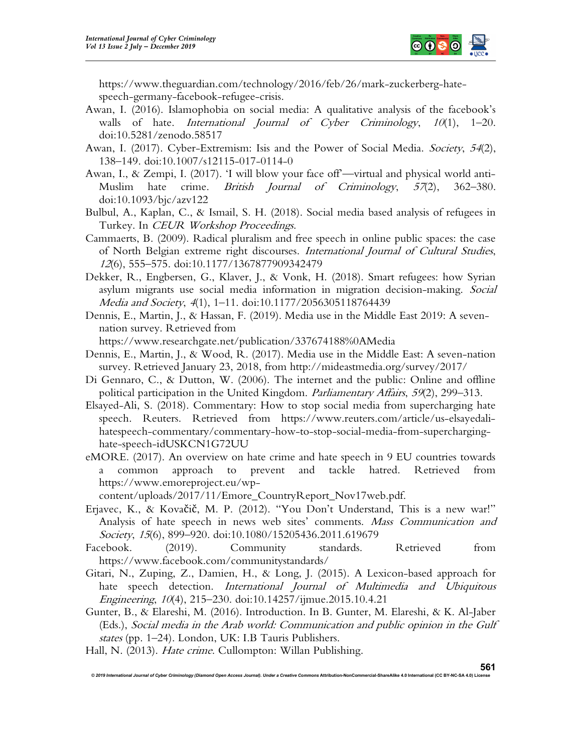

https://www.theguardian.com/technology/2016/feb/26/mark-zuckerberg-hatespeech-germany-facebook-refugee-crisis.

- Awan, I. (2016). Islamophobia on social media: A qualitative analysis of the facebook's walls of hate. International Journal of Cyber Criminology, 10(1), 1-20. doi:10.5281/zenodo.58517
- Awan, I. (2017). Cyber-Extremism: Isis and the Power of Social Media. *Society*, 54(2), 138–149. doi:10.1007/s12115-017-0114-0
- Awan, I., & Zempi, I. (2017). 'I will blow your face off—virtual and physical world anti-Muslim hate crime. *British Journal of Criminology*, 57(2), 362–380. doi:10.1093/bjc/azv122
- Bulbul, A., Kaplan, C., & Ismail, S. H. (2018). Social media based analysis of refugees in Turkey. In CEUR Workshop Proceedings.
- Cammaerts, B. (2009). Radical pluralism and free speech in online public spaces: the case of North Belgian extreme right discourses. International Journal of Cultural Studies, <sup>12</sup>(6), 555–575. doi:10.1177/1367877909342479
- Dekker, R., Engbersen, G., Klaver, J., & Vonk, H. (2018). Smart refugees: how Syrian asylum migrants use social media information in migration decision-making. Social Media and Society, 4(1), 1–11. doi:10.1177/2056305118764439
- Dennis, E., Martin, J., & Hassan, F. (2019). Media use in the Middle East 2019: A sevennation survey. Retrieved from

https://www.researchgate.net/publication/337674188%0AMedia

- Dennis, E., Martin, J., & Wood, R. (2017). Media use in the Middle East: A seven-nation survey. Retrieved January 23, 2018, from http://mideastmedia.org/survey/2017/
- Di Gennaro, C., & Dutton, W. (2006). The internet and the public: Online and offline political participation in the United Kingdom. Parliamentary Affairs, 59(2), 299–313.
- Elsayed-Ali, S. (2018). Commentary: How to stop social media from supercharging hate speech. Reuters. Retrieved from https://www.reuters.com/article/us-elsayedalihatespeech-commentary/commentary-how-to-stop-social-media-from-supercharginghate-speech-idUSKCN1G72UU
- eMORE. (2017). An overview on hate crime and hate speech in 9 EU countries towards a common approach to prevent and tackle hatred. Retrieved from https://www.emoreproject.eu/wp-

content/uploads/2017/11/Emore\_CountryReport\_Nov17web.pdf.

- Erjavec, K., & Kovačič, M. P. (2012). "You Don't Understand, This is a new war!" Analysis of hate speech in news web sites' comments. Mass Communication and Society, 15(6), 899-920. doi:10.1080/15205436.2011.619679
- Facebook. (2019). Community standards. Retrieved from https://www.facebook.com/communitystandards/
- Gitari, N., Zuping, Z., Damien, H., & Long, J. (2015). A Lexicon-based approach for hate speech detection. International Journal of Multimedia and Ubiquitous Engineering, 10(4), 215–230. doi:10.14257/ijmue.2015.10.4.21
- Gunter, B., & Elareshi, M. (2016). Introduction. In B. Gunter, M. Elareshi, & K. Al-Jaber (Eds.), Social media in the Arab world: Communication and public opinion in the Gulf states (pp. 1–24). London, UK: I.B Tauris Publishers.
- Hall, N. (2013). Hate crime. Cullompton: Willan Publishing.

© 2019 International Journal of Cyber Criminology (Diamond Open Access Journal). Under a Creative Commons Attribution-NonCommercial-ShareAlike 4.0 International (CC BY-NC-SA 4.0) Licen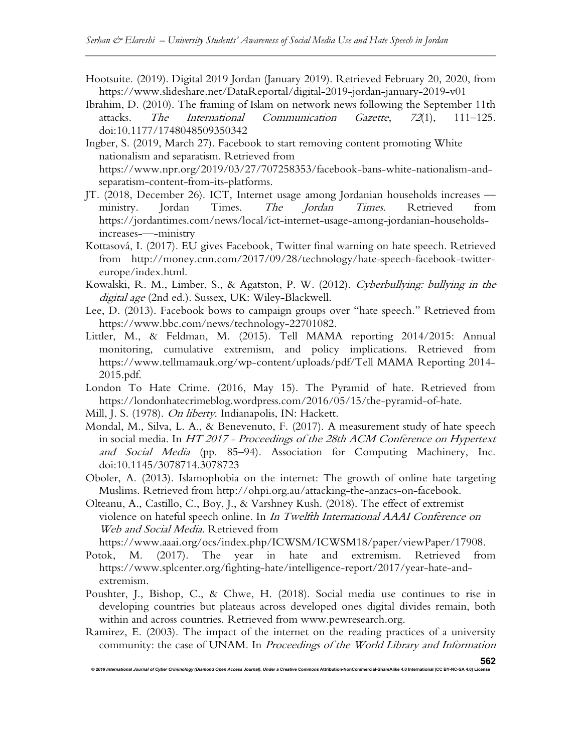- Hootsuite. (2019). Digital 2019 Jordan (January 2019). Retrieved February 20, 2020, from https://www.slideshare.net/DataReportal/digital-2019-jordan-january-2019-v01
- Ibrahim, D. (2010). The framing of Islam on network news following the September 11th attacks. The International Communication Gazette, 72(1), 111–125. doi:10.1177/1748048509350342
- Ingber, S. (2019, March 27). Facebook to start removing content promoting White nationalism and separatism. Retrieved from https://www.npr.org/2019/03/27/707258353/facebook-bans-white-nationalism-andseparatism-content-from-its-platforms.
- JT. (2018, December 26). ICT, Internet usage among Jordanian households increases ministry. Jordan Times. The Jordan Times. Retrieved from https://jordantimes.com/news/local/ict-internet-usage-among-jordanian-householdsincreases-—-ministry
- Kottasová, I. (2017). EU gives Facebook, Twitter final warning on hate speech. Retrieved from http://money.cnn.com/2017/09/28/technology/hate-speech-facebook-twittereurope/index.html.
- Kowalski, R. M., Limber, S., & Agatston, P. W. (2012). Cyberbullying: bullying in the digital age (2nd ed.). Sussex, UK: Wiley-Blackwell.
- Lee, D. (2013). Facebook bows to campaign groups over "hate speech." Retrieved from https://www.bbc.com/news/technology-22701082.
- Littler, M., & Feldman, M. (2015). Tell MAMA reporting 2014/2015: Annual monitoring, cumulative extremism, and policy implications. Retrieved from https://www.tellmamauk.org/wp-content/uploads/pdf/Tell MAMA Reporting 2014- 2015.pdf.
- London To Hate Crime. (2016, May 15). The Pyramid of hate. Retrieved from https://londonhatecrimeblog.wordpress.com/2016/05/15/the-pyramid-of-hate.
- Mill, J. S. (1978). On liberty. Indianapolis, IN: Hackett.
- Mondal, M., Silva, L. A., & Benevenuto, F. (2017). A measurement study of hate speech in social media. In HT 2017 - Proceedings of the 28th ACM Conference on Hypertext and Social Media (pp. 85–94). Association for Computing Machinery, Inc. doi:10.1145/3078714.3078723
- Oboler, A. (2013). Islamophobia on the internet: The growth of online hate targeting Muslims. Retrieved from http://ohpi.org.au/attacking-the-anzacs-on-facebook.
- Olteanu, A., Castillo, C., Boy, J., & Varshney Kush. (2018). The effect of extremist violence on hateful speech online. In In Twelfth International AAAI Conference on Web and Social Media. Retrieved from

```
https://www.aaai.org/ocs/index.php/ICWSM/ICWSM18/paper/viewPaper/17908.
```
- Potok, M. (2017). The year in hate and extremism. Retrieved from https://www.splcenter.org/fighting-hate/intelligence-report/2017/year-hate-andextremism.
- Poushter, J., Bishop, C., & Chwe, H. (2018). Social media use continues to rise in developing countries but plateaus across developed ones digital divides remain, both within and across countries. Retrieved from www.pewresearch.org.
- Ramirez, E. (2003). The impact of the internet on the reading practices of a university community: the case of UNAM. In Proceedings of the World Library and Information